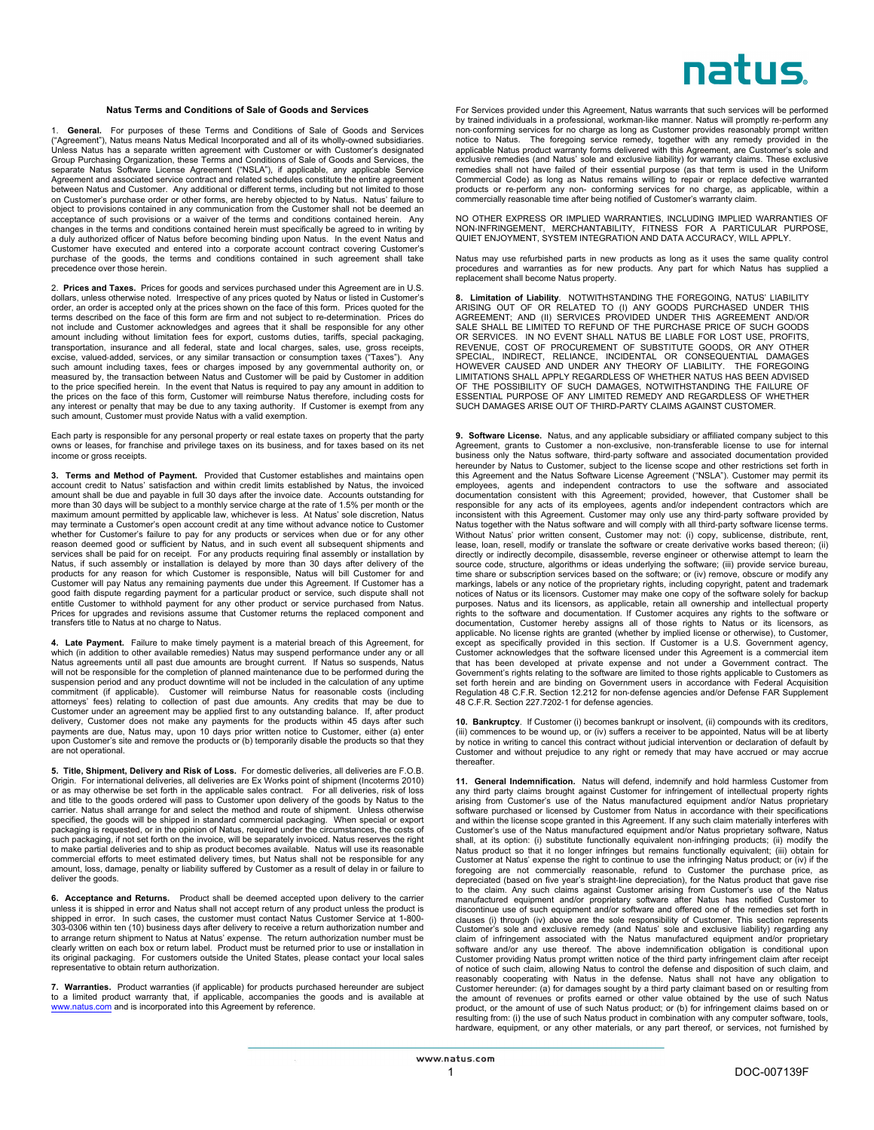## natus

## **Natus Terms and Conditions of Sale of Goods and Services**

1. **General.** For purposes of these Terms and Conditions of Sale of Goods and Services ("Agreement"), Natus means Natus Medical Incorporated and all of its wholly-owned subsidiaries. Unless Natus has a separate written agreement with Customer or with Customer's designated Group Purchasing Organization, these Terms and Conditions of Sale of Goods and Services, the separate Natus Software License Agreement ("NSLA"), if applicable, any applicable Service Agreement and associated service contract and related schedules constitute the entire agreement between Natus and Customer. Any additional or different terms, including but not limited to those on Customer's purchase order or other forms, are hereby objected to by Natus. Natus' failure to object to provisions contained in any communication from the Customer shall not be deemed an acceptance of such provisions or a waiver of the terms and conditions contained herein. Any changes in the terms and conditions contained herein must specifically be agreed to in writing by a duly authorized officer of Natus before becoming binding upon Natus. In the event Natus and Customer have executed and entered into a corporate account contract covering Customer's purchase of the goods, the terms and conditions contained in such agreement shall take precedence over those herein.

2. **Prices and Taxes.** Prices for goods and services purchased under this Agreement are in U.S. dollars, unless otherwise noted. Irrespective of any prices quoted by Natus or listed in Customer's order, an order is accepted only at the prices shown on the face of this form. Prices quoted for the terms described on the face of this form are firm and not subject to re-determination. Prices do not include and Customer acknowledges and agrees that it shall be responsible for any other amount including without limitation fees for export, customs duties, tariffs, special packaging, transportation, insurance and all federal, state and local charges, sales, use, gross receipts, excise, valued-added, services, or any similar transaction or consumption taxes ("Taxes"). Any such amount including taxes, fees or charges imposed by any governmental authority on, or measured by, the transaction between Natus and Customer will be paid by Customer in addition to the price specified herein. In the event that Natus is required to pay any amount in addition to the prices on the face of this form, Customer will reimburse Natus therefore, including costs for any interest or penalty that may be due to any taxing authority. If Customer is exempt from any such amount, Customer must provide Natus with a valid exemption.

Each party is responsible for any personal property or real estate taxes on property that the party owns or leases, for franchise and privilege taxes on its business, and for taxes based on its net income or gross receipts.

**3. Terms and Method of Payment.** Provided that Customer establishes and maintains open account credit to Natus' satisfaction and within credit limits established by Natus, the invoiced amount shall be due and payable in full 30 days after the invoice date. Accounts outstanding for more than 30 days will be subject to a monthly service charge at the rate of 1.5% per month or the maximum amount permitted by applicable law, whichever is less. At Natus' sole discretion, Natus may terminate a Customer's open account credit at any time without advance notice to Customer whether for Customer's failure to pay for any products or services when due or for any other<br>reason deemed good or sufficient by Natus, and in such event all subsequent shipments and<br>services shall be paid for on receipt. Natus, if such assembly or installation is delayed by more than 30 days after delivery of the<br>products for any reason for which Customer is responsible, Natus will bill Customer for and<br>Customer will pay Natus any remainin entitle Customer to withhold payment for any other product or service purchased from Natus. Prices for upgrades and revisions assume that Customer returns the replaced component and transfers title to Natus at no charge to Natus.

4. Late Payment. Failure to make timely payment is a material breach of this Agreement, for<br>which (in addition to other available remedies) Natus may suspend performance under any or all<br>Natus agreements until all past due suspension period and any product downtime will not be included in the calculation of any uptime commitment (if applicable). Customer will reimburse Natus for reasonable costs (including attorneys' fees) relating to collection of past due amounts. Any credits that may be due to Customer under an agreement may be appli upon Customer's site and remove the products or (b) temporarily disable the products so that they are not operational.

**5. Title, Shipment, Delivery and Risk of Loss.** For domestic deliveries, all deliveries are F.O.B. Origin. For international deliveries, all deliveries are Ex Works point of shipment (Incoterms 2010) or as may otherwise be set forth in the applicable sales contract. For all deliveries, risk of loss and title to the goods ordered will pass to Customer upon delivery of the goods by Natus to the carrier. Natus shall arrange for and select the method and route of shipment. Unless otherwise specified, the goods will be shipped in standard commercial packaging. When special or export packaging is requested, or in the opinion of Natus, required under the circumstances, the costs of such packaging, if not set forth on the invoice, will be separately invoiced. Natus reserves the right to make partial deliveries and to ship as product becomes available. Natus will use its reasonable<br>commercial efforts to meet estimated delivery times, but Natus shall not be responsible for any<br>amount, loss, damage, pena deliver the goods.

**6. Acceptance and Returns.** Product shall be deemed accepted upon delivery to the carrier unless it is shipped in error and Natus shall not accept return of any product unless the product is shipped in error. In such cases, the customer must contact Natus Customer Service at 1-800-<br>303-0306 within ten (10) business days after delivery to receive a return authorization number and<br>to arrange return shipment to N clearly written on each box or return label. Product must be returned prior to use or installation in<br>its original packaging. For customers outside the United States, please contact your local sales<br>representative to obt

**7. Warranties.** Product warranties (if applicable) for products purchased hereunder are subject to a limited product warranty that, if applicable, accompanies the goods and is available at www.natus.com and is incorporated into this Agreement by reference.

For Services provided under this Agreement, Natus warrants that such services will be performed by trained individuals in a professional, workman-like manner. Natus will promptly re-perform any non-conforming services for no charge as long as Customer provides reasonably prompt written notice to Natus. The foregoing service remedy, together with any remedy provided in the applicable Natus product warranty forms delivered with this Agreement, are Customer's sole and exclusive remedies (and Natus' sole and exclusive liability) for warranty claims. These exclusive remedies shall not have failed of their essential purpose (as that term is used in the Uniform Commercial Code) as long as Natus remains willing to repair or replace defective warranted<br>products or re-perform any non- conforming services for no charge, as applicable, within a<br>commercially reasonable time after being

NO OTHER EXPRESS OR IMPLIED WARRANTIES, INCLUDING IMPLIED WARRANTIES OF NON-INFRINGEMENT, MERCHANTABILITY, FITNESS FOR A PARTICULAR PURPOSE, QUIET ENJOYMENT, SYSTEM INTEGRATION AND DATA ACCURACY, WILL APPLY.

Natus may use refurbished parts in new products as long as it uses the same quality control procedures and warranties as for new products. Any part for which Natus has supplied a replacement shall become Natus property.

**8. Limitation of Liability**. NOTWITHSTANDING THE FOREGOING, NATUS' LIABILITY ARISING OUT OF OR RELATED TO (I) ANY GOODS PURCHASED UNDER THIS AGREEMENT; AND (II) SERVICES PROVIDED UNDER THIS AGREEMENT AND/OR<br>SALE SHALL BE LIMITED TO REFUND OF THE PURCHASE PRICE OF SUCH GOODS<br>OR SERVICES. IN NO EVENT SHALL NATUS BE LIABLE FOR LOST USE, PROFITS,<br>REVENUE, COST OF P SUCH DAMAGES ARISE OUT OF THIRD-PARTY CLAIMS AGAINST CUSTOMER.

**9. Software License.** Natus, and any applicable subsidiary or affiliated company subject to this Agreement, grants to Customer a non-exclusive, non-transferable license to use for internal business only the Natus software, third-party software and associated documentation provided hereunder by Natus to Customer, subject to the license scope and other restrictions set forth in this Agreement and the Natus Software License Agreement ("NSLA"). Customer may permit its employees, agents and independent contractors to use the software and associated documentation consistent with this Agreement; provided, however, that Customer shall be responsible for any acts of its employees, agents and/or independent contractors which are inconsistent with this Agreement. Customer may only use any third-party software provided by Natus together with the Natus software and will comply with all third-party software license terms. Without Natus' prior written consent, Customer may not: (i) copy, sublicense, distribute, rent, lease, loan, resell, modify or translate the software or create derivative works based thereon; (ii) directly or indirectly decompile, disassemble, reverse engineer or otherwise attempt to learn the source code, structure, algorithms or ideas underlying the software; (iii) provide service bureau, time share or subscription services based on the software; or (iv) remove, obscure or modify any markings, labels or any notice of the proprietary rights, including copyright, patent and trademark notices of Natus or its licensors. Customer may make one copy of the software solely for backup purposes. Natus and its licensors, as applicable, retain all ownership and intellectual property rights to the software and documentation. If Customer acquires any rights to the software or documentation, Customer hereby assigns all of those rights to Natus or its licensors, as applicable. No license rights are granted (whether by implied license or otherwise), to Customer, except as specifically provided in Government's rights relating to the software are limited to those rights applicable to Customers as<br>set forth\_herein\_and\_are\_binding\_on\_Government\_users\_in\_accordance\_with\_Federal\_Acquisition<br>Regulation 48 C.F.R. Section\_1 48 C.F.R. Section 227.7202-1 for defense agencies.

10. Bankruptcy. If Customer (i) becomes bankrupt or insolvent, (ii) compounds with its creditors,<br>(iii) commences to be wound up, or (iv) suffers a receiver to be appointed, Natus will be at liberty<br>by notice in writing to Customer and without prejudice to any right or remedy that may have accrued or may accrue thereafter.

**11. General Indemnification.** Natus will defend, indemnify and hold harmless Customer from any third party claims brought against Customer for infringement of intellectual property rights arising from Customer's use of the Natus manufactured equipment and/or Natus proprietary software purchased or licensed by Customer from Natus in accordance with their specifications and within the license scope granted in this Agreement. If any such claim materially interferes with Customer's use of the Natus manufactured equipment and/or Natus proprietary software, Natus shall, at its option: (i) substitute functionally equivalent non-infringing products; (ii) modify the Natus product so that it no longer infringes but remains functionally equivalent; (iii) obtain for Customer at Natus' expense the right to continue to use the infringing Natus product; or (iv) if the foregoing are not commercially reasonable, refund to Customer the purchase price, as depreciated (based on five year's st discontinue use of such equipment and/or software and offered one of the remedies set forth in clauses (i) through (iv) above are the sole responsibility of Customer. This section represents Customer's sole and exclusive remedy (and Natus' sole and exclusive liability) regarding any claim of infringement associated with the Natus manufactured equipment and/or proprietary software and/or any use thereof. The above indemnification obligation is conditional upon Customer providing Natus prompt written notice of the third party infringement claim after receipt of notice of such claim, allowing Natus to control the defense and disposition of such claim, and reasonably cooperating with Natus in the defense. Natus shall not have any obligation to Customer hereunder: (a) for damages sought by a third party claimant based on or resulting from the amount of revenues or profits earned or other value obtained by the use of such Natus product, or the amount of use of such Natus product; or (b) for infringement claims based on or resulting from: (i) the use of such Natus product in combination with any computer software, tools, hardware, equipment, or any other materials, or any part thereof, or services, not furnished by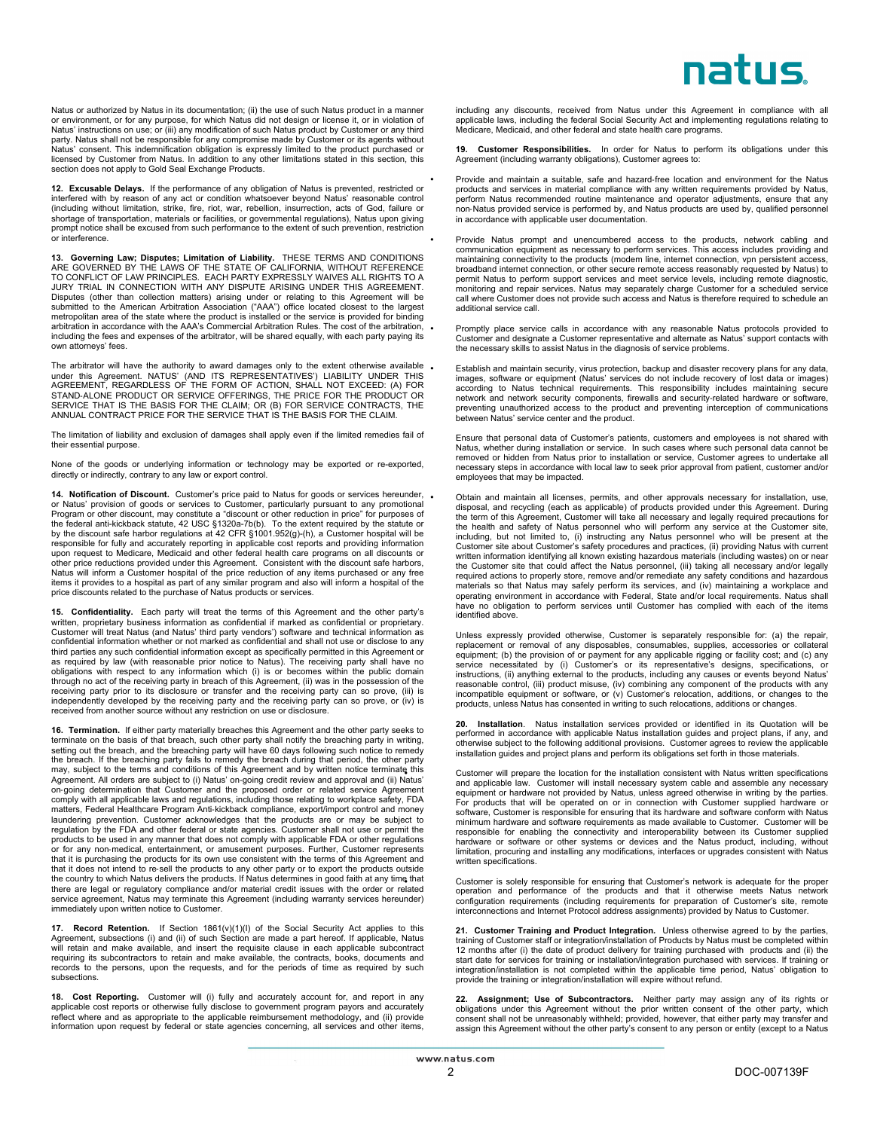## natus

Natus or authorized by Natus in its documentation; (ii) the use of such Natus product in a manner or environment, or for any purpose, for which Natus did not design or license it, or in violation of<br>Natus' instructions on use; or (iii) any modification of such Natus product by Customer or any third<br>party. Natus shall n Natus' consent. This indemnification obligation is expressly limited to the product purchased or licensed by Customer from Natus. In addition to any other limitations stated in this section, this section does not apply to Gold Seal Exchange Products.

**12. Excusable Delays.** If the performance of any obligation of Natus is prevented, restricted or interfered with by reason of any act or condition whatsoever beyond Natus' reasonable control (including without limitation, strike, fire, riot, war, rebellion, insurrection, acts of God, failure or shortage of transportation, materials or facilities, or governmental regulations), Natus upon giving prompt notice shall be excused from such performance to the extent of such prevention, restriction or interference.

13. Governing Law; Disputes; Limitation of Liability. THESE TERMS AND CONDITIONS<br>ARE GOVERNED BY THE LAWS OF THE STATE OF CALIFORNIA, WITHOUT REFERENCE<br>TO CONFLICT OF LAW PRINCIPLES. EACH PARTY EXPRESSLY WAIVES ALL RIGHTS JURY TRIAL IN CONNECTION WITH ANY DISPUTE ARISING UNDER THIS AGREEMENT. Disputes (other than collection matters) arising under or relating to this Agreement will be submitted to the American Arbitration Association ("AAA") office located closest to the largest metropolitan area of the state where the product is installed or the service is provided for binding arbitration in accordance with the AAA's Commercial Arbitration Rules. The cost of the arbitration,<br>including the fees and expenses of the arbitrator, will be shared equally, with each party paying its own attorneys' fees.

The arbitrator will have the authority to award damages only to the extent otherwise available<br>under this Agreement. NATUS' (AND ITS REPRESENTATIVES') LIABILITY UNDER THIS<br>AGREEMENT, REGARDLESS OF THE FORM OF ACTION, SHALL SERVICE THAT IS THE BASIS FOR THE CLAIM; OR (B) FOR SERVICE CONTRACTS, THE ANNUAL CONTRACT PRICE FOR THE SERVICE THAT IS THE BASIS FOR THE CLAIM.

The limitation of liability and exclusion of damages shall apply even if the limited remedies fail of their essential purpose.

None of the goods or underlying information or technology may be exported or re-exported, directly or indirectly, contrary to any law or export control.

**14. Notification of Discount.** Customer's price paid to Natus for goods or services hereunder, or Natus' provision of goods or services to Customer, particularly pursuant to any promotional Program or other discount, may responsible for fully and accurately reporting in applicable cost reports and providing information<br>upon request to Medicare, Medicaid and other federal health care programs on all discounts or<br>other price reductions provi items it provides to a hospital as part of any similar program and also will inform a hospital of the price discounts related to the purchase of Natus products or services.

**15. Confidentiality.** Each party will treat the terms of this Agreement and the other party's written, proprietary business information as confidential if marked as confidential or proprietary. Customer will treat Natus (and Natus' third party vendors') software and technical information as confidential information whether or not marked as confidential and shall not use or disclose to any third parties any such confidential information except as specifically permitted in this Agreement or as required by law (with reasonable prior notice to Natus). The receiving party shall have no obligations with respect to any information which (i) is or becomes within the public domain through no act of the receiving party in breach of this Agreement, (ii) was in the possession of the receiving party prior to its disclosure or transfer and the receiving party can so prove, (iii) is independently developed by the receiving party and the receiving party can so prove, or (iv) is received from another source without any restriction on use or disclosure.

**16. Termination.** If either party materially breaches this Agreement and the other party seeks to terminate on the basis of that breach, such other party shall notify the breaching party in writing, setting out the breach, and the breaching party will have 60 days following such notice to remedy the breach. If the breaching party fails to remedy the breach during that period, the other party<br>may, subject to the terms and conditions of this Agreement and by written notice terminate this<br>Agreement. All orders are su on-going determination that Customer and the proposed order or related service Agreement comply with all applicable laws and regulations, including those relating to workplace safety, FDA matters, Federal Healthcare Program Anti-kickback compliance, export/import control and money laundering prevention. Customer acknowledges that the products are or may be subject to regulation by the FDA and other federal or state agencies. Customer shall not use or permit the products to be used in any manner that does not comply with applicable FDA or other regulations or for any non-medical, entertainment, or amusement purposes. Further, Customer represents that it is purchasing the products for its own use consistent with the terms of this Agreement and that it does not intend to re-sell the products to any other party or to export the products outside the country to which Natus delivers the products. If Natus determines in good faith at any time that there are legal or regulatory compliance and/or material credit issues with the order or related service agreement, Natus may terminate this Agreement (including warranty services hereunder) immediately upon written notice to Customer.

**17. Record Retention.** If Section 1861(v)(1)(I) of the Social Security Act applies to this Agreement, subsections (i) and (ii) of such Section are made a part hereof. If applicable, Natus will retain and make available, and insert the requisite clause in each applicable subcontract requiring its subcontractors to retain and make available, the contracts, books, documents and records to the persons, upon the requests, and for the periods of time as required by such subsections.

**18. Cost Reporting.** Customer will (i) fully and accurately account for, and report in any<br>applicable cost reports or otherwise fully disclose to government program payors and accurately<br>reflect where and as appropriate t information upon request by federal or state agencies concerning, all services and other items,

including any discounts, received from Natus under this Agreement in compliance with all applicable laws, including the federal Social Security Act and implementing regulations relating to Medicare, Medicaid, and other federal and state health care programs.

**19. Customer Responsibilities.** In order for Natus to perform its obligations under this Agreement (including warranty obligations), Customer agrees to:

Provide and maintain a suitable, safe and hazard-free location and environment for the Natus<br>products and services in material compliance with any written requirements provided by Natus,<br>perform Natus recommended routine m non-Natus provided service is performed by, and Natus products are used by, qualified personnel in accordance with applicable user documentation.

• Provide Natus prompt and unencumbered access to the products, network cabling and communication equipment as necessary to perform services. This access includes providing and maintaining connectivity to the products (modem line, internet connection, vpn persistent access, broadband internet connection, or other secure remote access reasonably requested by Natus) to permit Natus to perform support services and meet service levels, including remote diagnostic, monitoring and repair services. Natus may separately charge Customer for a scheduled service call where Customer does not provide such access and Natus is therefore required to schedule an additional service call.

• Promptly place service calls in accordance with any reasonable Natus protocols provided to Customer and designate a Customer representative and alternate as Natus' support contacts with the necessary skills to assist Natus in the diagnosis of service problems.

Establish and maintain security, virus protection, backup and disaster recovery plans for any data,<br>images, software or equipment (Natus' services do not include recovery of lost data or images)<br>according to Natus technica network and network security components, firewalls and security-related hardware or software, preventing unauthorized access to the product and preventing interception of communications between Natus' service center and the product.

Ensure that personal data of Customer's patients, customers and employees is not shared with Natus, whether during installation or service. In such cases where such personal data cannot be removed or hidden from Natus prior to installation or service, Customer agrees to undertake all necessary steps in accordance with local law to seek prior approval from patient, customer and/or employees that may be impacted.

• Obtain and maintain all licenses, permits, and other approvals necessary for installation, use, disposal, and recycling (each as applicable) of products provided under this Agreement. During the term of this Agreement, Customer will take all necessary and legally required precautions for the health and safety of Natus personnel who will perform any service at the Customer site, including, but not limited to, (i) instructing any Natus personnel who will be present at the Customer site about Customer's safety procedures and practices, (ii) providing Natus with current written information identifying all known existing hazardous materials (including wastes) on or near<br>the Customer site that could affect the Natus personnel, (iii) taking all necessary and/or legally<br>required actions to pr materials so that Natus may safely perform its services, and (iv) maintaining a workplace and operating environment in accordance with Federal, State and/or local requirements. Natus shall have no obligation to perform services until Customer has complied with each of the items identified above.

Unless expressly provided otherwise, Customer is separately responsible for: (a) the repair, replacement or removal of any disposables, consumables, supplies, accessories or collateral equipment; (b) the provision of or payment for any applicable rigging or facility cost; and (c) any service necessitated by (i) Customer's or its representative's designs, specifications, or instructions, (ii) anything external to the products, including any causes or events beyond Natus' reasonable control, (iii) product misuse, (iv) combining any component of the products with any incompatible equipment or software, or (v) Customer's relocation, additions, or changes to the products, unless Natus has consented in writing to such relocations, additions or changes.

**20. Installation**. Natus installation services provided or identified in its Quotation will be performed in accordance with applicable Natus installation guides and project plans, if any, and otherwise subject to the following additional provisions. Customer agrees to review the applicable installation guides and project plans and perform its obligations set forth in those materials.

**•** Customer will prepare the location for the installation consistent with Natus written specifications and applicable law. Customer will install necessary system cable and assemble any necessary equipment or hardware not provided by Natus, unless agreed otherwise in writing by the parties. For products that will be operated on or in connection with Customer supplied hardware or software, Customer is responsible for ensuring that its hardware and software conform with Natus minimum hardware and software requirements as made available to Customer. Customer will be responsible for enabling the connectivity and interoperability between its Customer supplied hardware or software or other systems or devices and the Natus product, including, without limitation, procuring and installing any modifications, interfaces or upgrades consistent with Natus written specifications.

**•** Customer is solely responsible for ensuring that Customer's network is adequate for the proper operation and performance of the products and that it otherwise meets Natus network configuration requirements (including requirements for preparation of Customer's site, remote interconnections and Internet Protocol address assignments) provided by Natus to Customer.

**21. Customer Training and Product Integration.** Unless otherwise agreed to by the parties, training of Customer staff or integration/installation of Products by Natus must be completed within<br>12 months after (i) the date of product delivery for training purchased with products and (ii) the<br>start date for servic integration/installation is not completed within the applicable time period, Natus' obligation to provide the training or integration/installation will expire without refund.

**22. Assignment; Use of Subcontractors.** Neither party may assign any of its rights or obligations under this Agreement without the prior written consent of the other party, which consent shall not be unreasonably withheld; provided, however, that either party may transfer and assign this Agreement without the other party's consent to any person or entity (except to a Natus